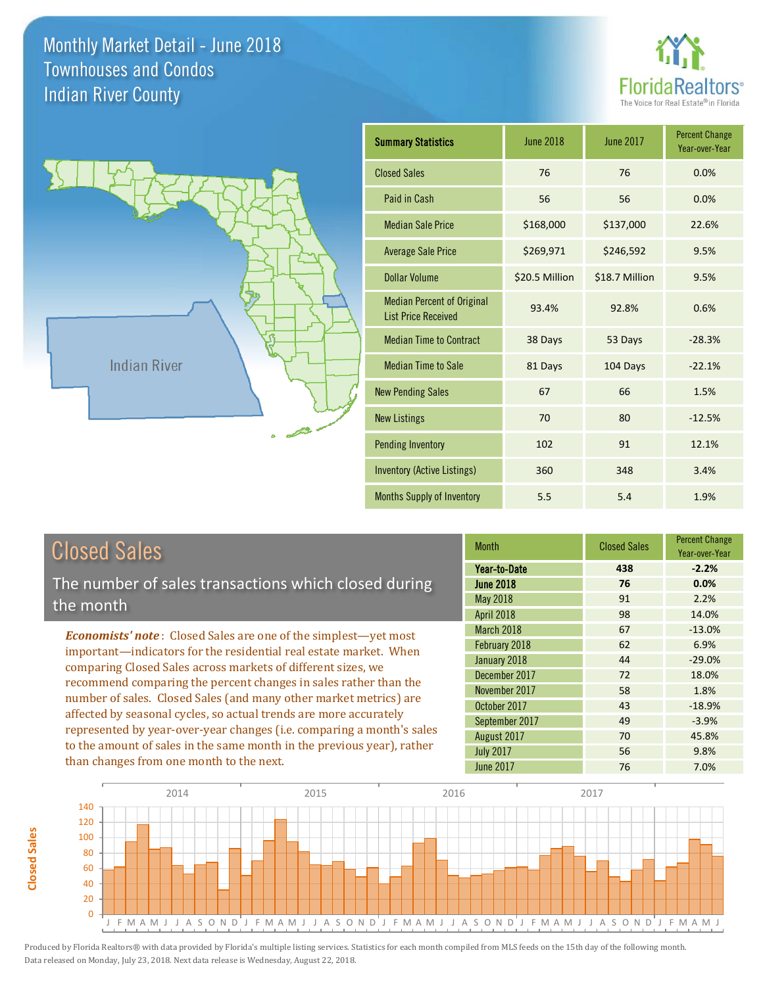



# Closed Sales

**Closed Sales**

**Closed Sales** 

The number of sales transactions which closed during the month

*Economists' note* : Closed Sales are one of the simplest—yet most important—indicators for the residential real estate market. When comparing Closed Sales across markets of different sizes, we recommend comparing the percent changes in sales rather than the number of sales. Closed Sales (and many other market metrics) are affected by seasonal cycles, so actual trends are more accurately represented by year-over-year changes (i.e. comparing a month's sales to the amount of sales in the same month in the previous year), rather than changes from one month to the next.

| <b>Month</b>     | <b>Closed Sales</b> | <b>Percent Change</b><br>Year-over-Year |
|------------------|---------------------|-----------------------------------------|
| Year-to-Date     | 438                 | $-2.2%$                                 |
| <b>June 2018</b> | 76                  | 0.0%                                    |
| May 2018         | 91                  | 2.2%                                    |
| April 2018       | 98                  | 14.0%                                   |
| March 2018       | 67                  | $-13.0%$                                |
| February 2018    | 62                  | 6.9%                                    |
| January 2018     | 44                  | $-29.0%$                                |
| December 2017    | 72                  | 18.0%                                   |
| November 2017    | 58                  | 1.8%                                    |
| October 2017     | 43                  | $-18.9%$                                |
| September 2017   | 49                  | $-3.9%$                                 |
| August 2017      | 70                  | 45.8%                                   |
| <b>July 2017</b> | 56                  | 9.8%                                    |
| <b>June 2017</b> | 76                  | 7.0%                                    |

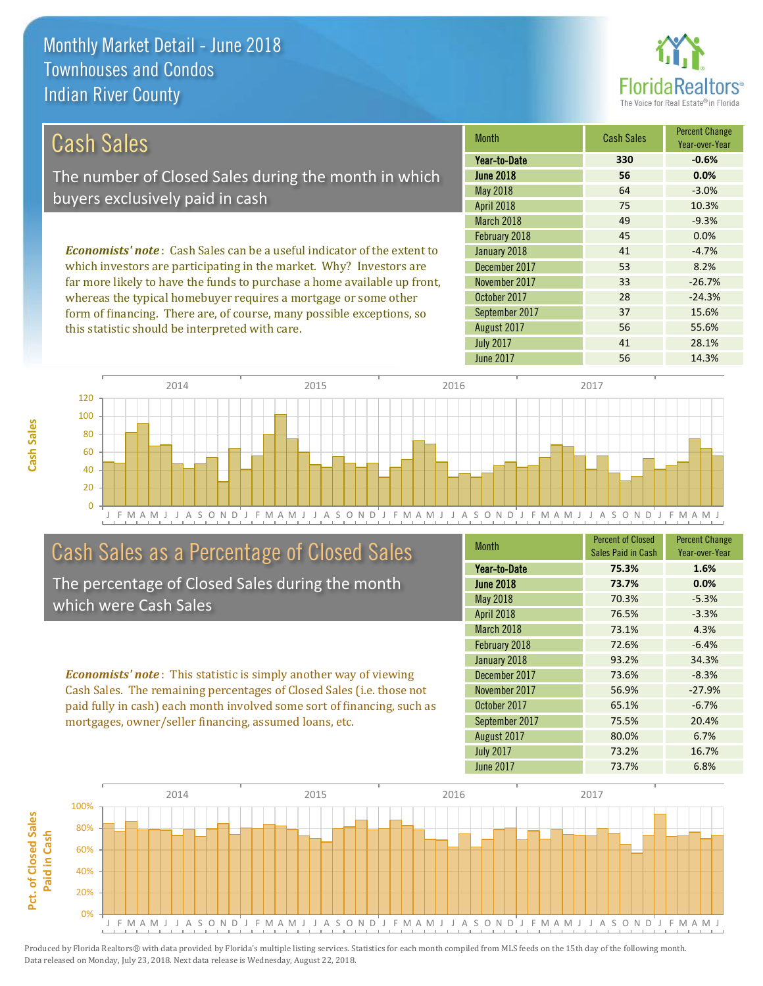

| Cash Sales                                                                     | <b>Month</b>      | <b>Cash Sales</b> | <b>Percent Change</b><br>Year-over-Year |
|--------------------------------------------------------------------------------|-------------------|-------------------|-----------------------------------------|
|                                                                                | Year-to-Date      | 330               | $-0.6%$                                 |
| The number of Closed Sales during the month in which                           | <b>June 2018</b>  | 56                | 0.0%                                    |
| buyers exclusively paid in cash                                                | May 2018          | 64                | $-3.0%$                                 |
|                                                                                | <b>April 2018</b> | 75                | 10.3%                                   |
|                                                                                | March 2018        | 49                | $-9.3%$                                 |
|                                                                                | February 2018     | 45                | 0.0%                                    |
| <b>Economists' note:</b> Cash Sales can be a useful indicator of the extent to | January 2018      | 41                | $-4.7%$                                 |
| which investors are participating in the market. Why? Investors are            | December 2017     | 53                | 8.2%                                    |
| far more likely to have the funds to purchase a home available up front,       | November 2017     | 33                | $-26.7%$                                |

whereas the typical homebuyer requires a mortgage or some other form of financing. There are, of course, many possible exceptions, so this statistic should be interpreted with care.

| IIIUILII          | uusn ouros | Year-over-Year |
|-------------------|------------|----------------|
| Year-to-Date      | 330        | $-0.6%$        |
| <b>June 2018</b>  | 56         | 0.0%           |
| <b>May 2018</b>   | 64         | $-3.0%$        |
| <b>April 2018</b> | 75         | 10.3%          |
| March 2018        | 49         | $-9.3%$        |
| February 2018     | 45         | 0.0%           |
| January 2018      | 41         | $-4.7%$        |
| December 2017     | 53         | 8.2%           |
| November 2017     | 33         | $-26.7%$       |
| October 2017      | 28         | $-24.3%$       |
| September 2017    | 37         | 15.6%          |
| August 2017       | 56         | 55.6%          |
| <b>July 2017</b>  | 41         | 28.1%          |
| <b>June 2017</b>  | 56         | 14.3%          |



# Cash Sales as a Percentage of Closed Sales

The percentage of Closed Sales during the month which were Cash Sales

*Economists' note* : This statistic is simply another way of viewing Cash Sales. The remaining percentages of Closed Sales (i.e. those not paid fully in cash) each month involved some sort of financing, such as mortgages, owner/seller financing, assumed loans, etc.

| <b>Month</b>      | <b>Percent of Closed</b><br>Sales Paid in Cash | <b>Percent Change</b><br>Year-over-Year |
|-------------------|------------------------------------------------|-----------------------------------------|
| Year-to-Date      | 75.3%                                          | 1.6%                                    |
| <b>June 2018</b>  | 73.7%                                          | 0.0%                                    |
| May 2018          | 70.3%                                          | $-5.3%$                                 |
| <b>April 2018</b> | 76.5%                                          | $-3.3%$                                 |
| March 2018        | 73.1%                                          | 4.3%                                    |
| February 2018     | 72.6%                                          | $-6.4%$                                 |
| January 2018      | 93.2%                                          | 34.3%                                   |
| December 2017     | 73.6%                                          | $-8.3%$                                 |
| November 2017     | 56.9%                                          | $-27.9%$                                |
| October 2017      | 65.1%                                          | $-6.7%$                                 |
| September 2017    | 75.5%                                          | 20.4%                                   |
| August 2017       | 80.0%                                          | 6.7%                                    |
| <b>July 2017</b>  | 73.2%                                          | 16.7%                                   |
| <b>June 2017</b>  | 73.7%                                          | 6.8%                                    |

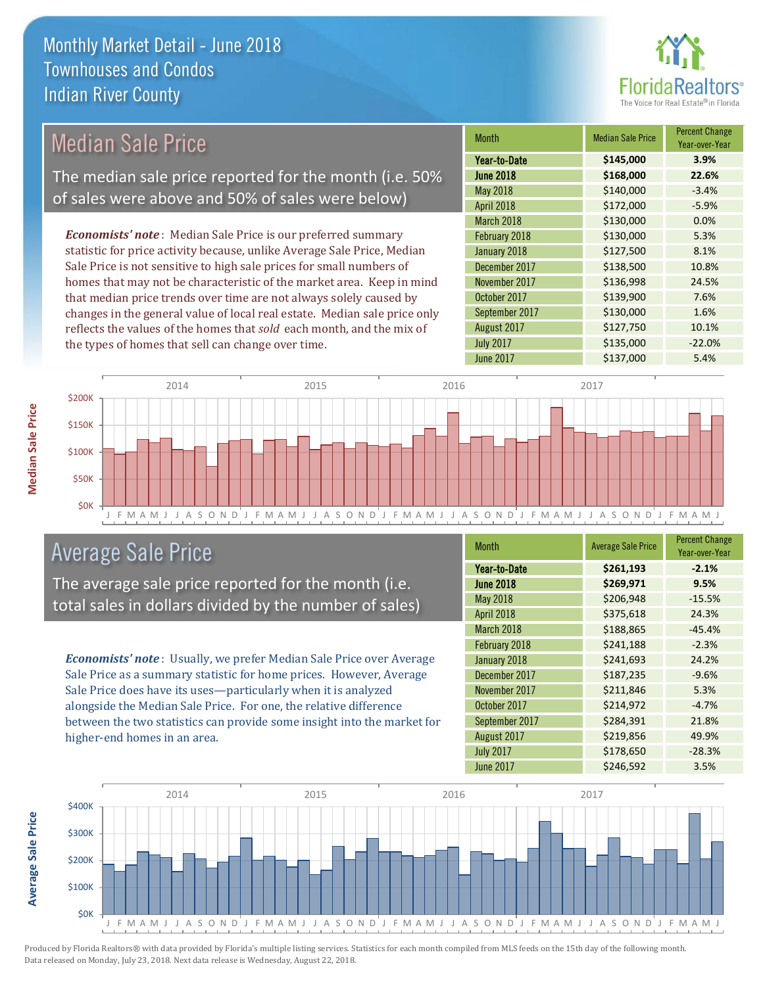

#### Month Median Sale Price Percent Change Year-over-Year June 2018 **\$168,000 22.6%** Year-to-Date **\$145,000 3.9%** November 2017 **\$136,998** 24.5%  $\text{May } 2018$   $\text{5140,000}$   $\text{-3.4\%}$ April 2018 **\$172,000** -5.9% January 2018 **\$127,500** \$127,500 December 2017 **\$138,500** 10.8% March 2018 **\$130,000** \$130,000 February 2018 **\$130,000** 5.3% October 2017 **\$139,900** 7.6% September 2017 **\$130,000** 1.6% August 2017 **\$127,750** 10.1% July 2017 **\$135,000** -22.0% June 2017 **\$137,000** 5.4% *Economists' note* : Median Sale Price is our preferred summary statistic for price activity because, unlike Average Sale Price, Median Sale Price is not sensitive to high sale prices for small numbers of homes that may not be characteristic of the market area. Keep in mind that median price trends over time are not always solely caused by changes in the general value of local real estate. Median sale price only reflects the values of the homes that *sold* each month, and the mix of the types of homes that sell can change over time. \$200K 2014 2015 2015 2016 2017 2018 2017 2017 2017 2017 Median Sale Price The median sale price reported for the month (i.e. 50% of sales were above and 50% of sales were below)



# Average Sale Price

The average sale price reported for the month (i.e. total sales in dollars divided by the number of sales)

*Economists' note* : Usually, we prefer Median Sale Price over Average Sale Price as a summary statistic for home prices. However, Average Sale Price does have its uses—particularly when it is analyzed alongside the Median Sale Price. For one, the relative difference between the two statistics can provide some insight into the market for higher-end homes in an area.

| <b>Month</b>     | <b>Average Sale Price</b> | <b>Percent Change</b><br>Year-over-Year |
|------------------|---------------------------|-----------------------------------------|
| Year-to-Date     | \$261,193                 | $-2.1%$                                 |
| <b>June 2018</b> | \$269,971                 | 9.5%                                    |
| May 2018         | \$206,948                 | $-15.5%$                                |
| April 2018       | \$375,618                 | 24.3%                                   |
| March 2018       | \$188,865                 | $-45.4%$                                |
| February 2018    | \$241,188                 | $-2.3%$                                 |
| January 2018     | \$241,693                 | 24.2%                                   |
| December 2017    | \$187,235                 | $-9.6%$                                 |
| November 2017    | \$211,846                 | 5.3%                                    |
| October 2017     | \$214,972                 | $-4.7%$                                 |
| September 2017   | \$284,391                 | 21.8%                                   |
| August 2017      | \$219,856                 | 49.9%                                   |
| <b>July 2017</b> | \$178,650                 | $-28.3%$                                |
| <b>June 2017</b> | \$246,592                 | 3.5%                                    |



Produced by Florida Realtors® with data provided by Florida's multiple listing services. Statistics for each month compiled from MLS feeds on the 15th day of the following month. Data released on Monday, July 23, 2018. Next data release is Wednesday, August 22, 2018.

**Average Sale Price**

**Average Sale Price**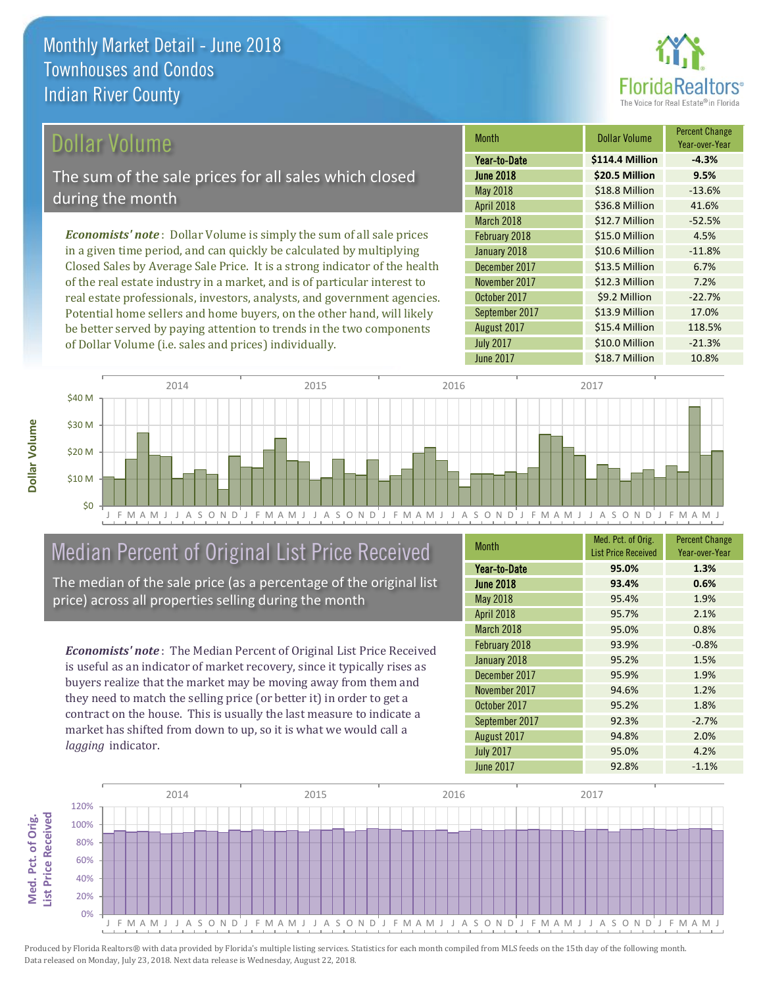

### Dollar Volume

The sum of the sale prices for all sales which closed during the month

*Economists' note* : Dollar Volume is simply the sum of all sale prices in a given time period, and can quickly be calculated by multiplying Closed Sales by Average Sale Price. It is a strong indicator of the health of the real estate industry in a market, and is of particular interest to real estate professionals, investors, analysts, and government agencies. Potential home sellers and home buyers, on the other hand, will likely be better served by paying attention to trends in the two components of Dollar Volume (i.e. sales and prices) individually.

| <b>Month</b>     | Dollar Volume   | <b>Percent Change</b><br>Year-over-Year |
|------------------|-----------------|-----------------------------------------|
| Year-to-Date     | \$114.4 Million | $-4.3%$                                 |
| <b>June 2018</b> | \$20.5 Million  | 9.5%                                    |
| <b>May 2018</b>  | \$18.8 Million  | $-13.6%$                                |
| April 2018       | \$36.8 Million  | 41.6%                                   |
| March 2018       | \$12.7 Million  | $-52.5%$                                |
| February 2018    | \$15.0 Million  | 4.5%                                    |
| January 2018     | \$10.6 Million  | $-11.8%$                                |
| December 2017    | \$13.5 Million  | 6.7%                                    |
| November 2017    | \$12.3 Million  | 7.2%                                    |
| October 2017     | \$9.2 Million   | $-22.7%$                                |
| September 2017   | \$13.9 Million  | 17.0%                                   |
| August 2017      | \$15.4 Million  | 118.5%                                  |
| <b>July 2017</b> | \$10.0 Million  | $-21.3%$                                |
| <b>June 2017</b> | \$18.7 Million  | 10.8%                                   |



# Median Percent of Original List Price Received

The median of the sale price (as a percentage of the original list price) across all properties selling during the month

*Economists' note* : The Median Percent of Original List Price Received is useful as an indicator of market recovery, since it typically rises as buyers realize that the market may be moving away from them and they need to match the selling price (or better it) in order to get a contract on the house. This is usually the last measure to indicate a market has shifted from down to up, so it is what we would call a *lagging* indicator.

| Month            | Med. Pct. of Orig.<br><b>List Price Received</b> | <b>Percent Change</b><br>Year-over-Year |
|------------------|--------------------------------------------------|-----------------------------------------|
| Year-to-Date     | 95.0%                                            | 1.3%                                    |
| <b>June 2018</b> | 93.4%                                            | 0.6%                                    |
| <b>May 2018</b>  | 95.4%                                            | 1.9%                                    |
| April 2018       | 95.7%                                            | 2.1%                                    |
| March 2018       | 95.0%                                            | 0.8%                                    |
| February 2018    | 93.9%                                            | $-0.8%$                                 |
| January 2018     | 95.2%                                            | 1.5%                                    |
| December 2017    | 95.9%                                            | 1.9%                                    |
| November 2017    | 94.6%                                            | 1.2%                                    |
| October 2017     | 95.2%                                            | 1.8%                                    |
| September 2017   | 92.3%                                            | $-2.7%$                                 |
| August 2017      | 94.8%                                            | 2.0%                                    |
| <b>July 2017</b> | 95.0%                                            | 4.2%                                    |
| <b>June 2017</b> | 92.8%                                            | $-1.1%$                                 |



Produced by Florida Realtors® with data provided by Florida's multiple listing services. Statistics for each month compiled from MLS feeds on the 15th day of the following month. Data released on Monday, July 23, 2018. Next data release is Wednesday, August 22, 2018.

**Med. Pct. of Orig.** 

Med. Pct. of Orig.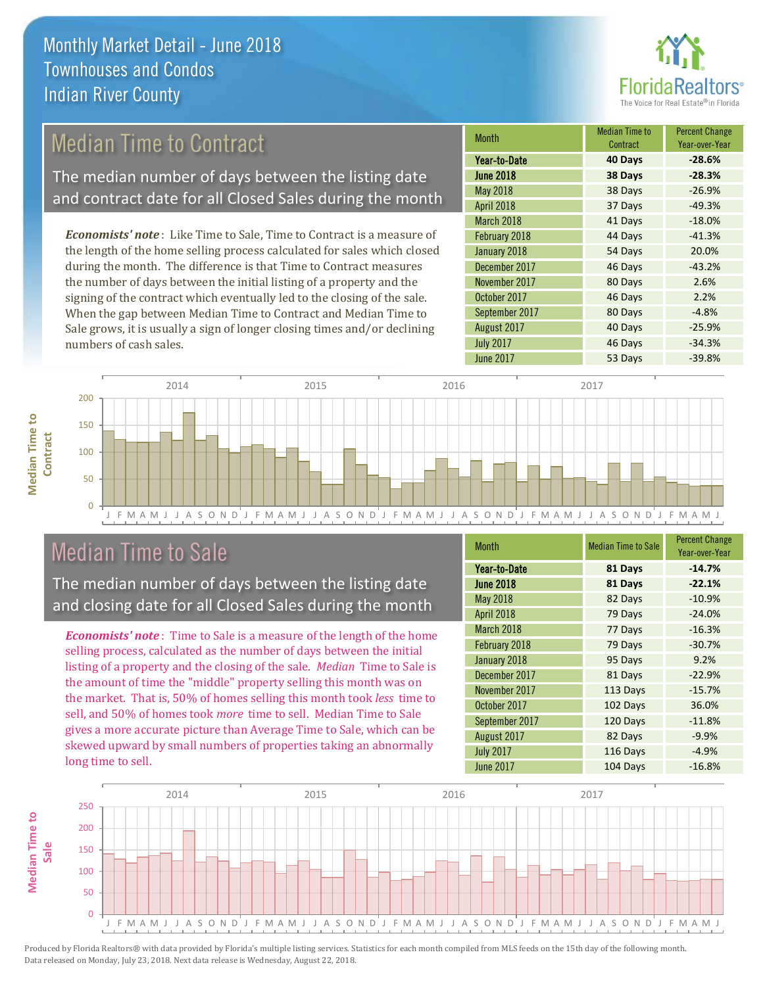

# Median Time to Contract

The median number of days between the listing date and contract date for all Closed Sales during the month

*Economists' note* : Like Time to Sale, Time to Contract is a measure of the length of the home selling process calculated for sales which closed during the month. The difference is that Time to Contract measures the number of days between the initial listing of a property and the signing of the contract which eventually led to the closing of the sale. When the gap between Median Time to Contract and Median Time to Sale grows, it is usually a sign of longer closing times and/or declining numbers of cash sales.

| <b>Month</b>     | <b>Median Time to</b><br>Contract | <b>Percent Change</b><br>Year-over-Year |
|------------------|-----------------------------------|-----------------------------------------|
| Year-to-Date     | 40 Days                           | $-28.6%$                                |
| <b>June 2018</b> | 38 Days                           | $-28.3%$                                |
| May 2018         | 38 Days                           | $-26.9%$                                |
| April 2018       | 37 Days                           | $-49.3%$                                |
| March 2018       | 41 Days                           | $-18.0%$                                |
| February 2018    | 44 Days                           | $-41.3%$                                |
| January 2018     | 54 Days                           | 20.0%                                   |
| December 2017    | 46 Days                           | $-43.2%$                                |
| November 2017    | 80 Days                           | 2.6%                                    |
| October 2017     | 46 Days                           | 2.2%                                    |
| September 2017   | 80 Days                           | $-4.8%$                                 |
| August 2017      | 40 Days                           | $-25.9%$                                |
| <b>July 2017</b> | 46 Days                           | $-34.3%$                                |
| <b>June 2017</b> | 53 Days                           | $-39.8%$                                |



## Median Time to Sale

**Median Time to** 

**Median Time to** 

The median number of days between the listing date and closing date for all Closed Sales during the month

*Economists' note* : Time to Sale is a measure of the length of the home selling process, calculated as the number of days between the initial listing of a property and the closing of the sale. *Median* Time to Sale is the amount of time the "middle" property selling this month was on the market. That is, 50% of homes selling this month took *less* time to sell, and 50% of homes took *more* time to sell. Median Time to Sale gives a more accurate picture than Average Time to Sale, which can be skewed upward by small numbers of properties taking an abnormally long time to sell.

| <b>Month</b>     | <b>Median Time to Sale</b> | <b>Percent Change</b><br>Year-over-Year |
|------------------|----------------------------|-----------------------------------------|
| Year-to-Date     | 81 Days                    | $-14.7%$                                |
| <b>June 2018</b> | 81 Days                    | $-22.1%$                                |
| <b>May 2018</b>  | 82 Days                    | $-10.9%$                                |
| April 2018       | 79 Days                    | $-24.0%$                                |
| March 2018       | 77 Days                    | $-16.3%$                                |
| February 2018    | 79 Days                    | $-30.7%$                                |
| January 2018     | 95 Days                    | 9.2%                                    |
| December 2017    | 81 Days                    | $-22.9%$                                |
| November 2017    | 113 Days                   | $-15.7%$                                |
| October 2017     | 102 Days                   | 36.0%                                   |
| September 2017   | 120 Days                   | $-11.8%$                                |
| August 2017      | 82 Days                    | $-9.9%$                                 |
| <b>July 2017</b> | 116 Days                   | $-4.9%$                                 |
| <b>June 2017</b> | 104 Days                   | $-16.8%$                                |

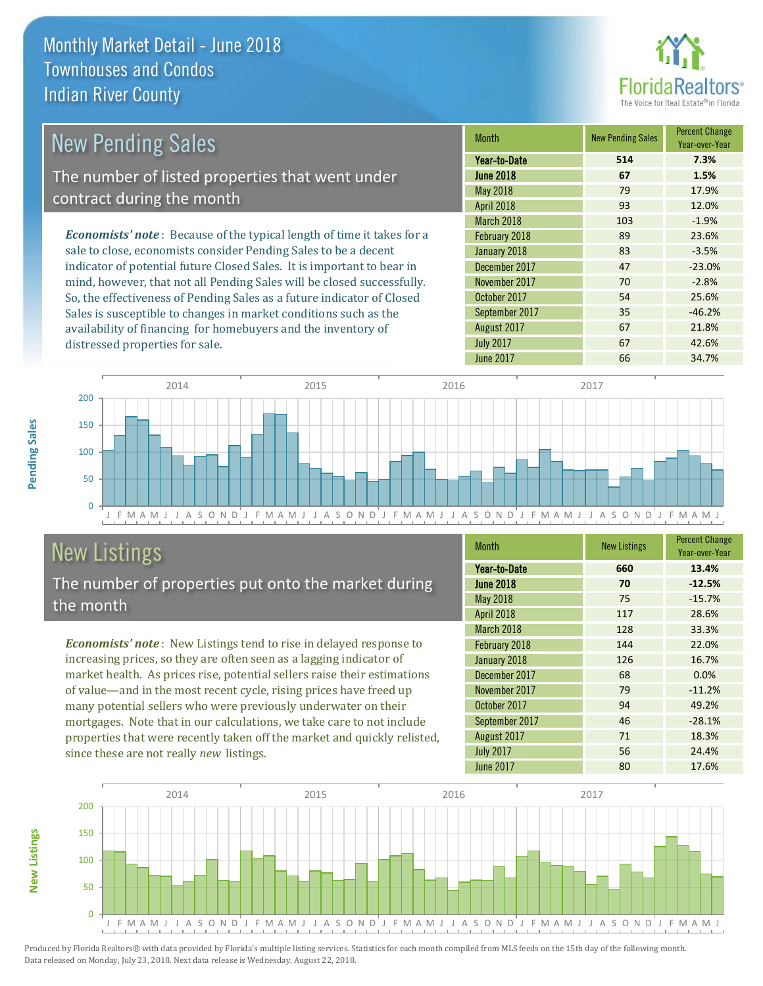distressed properties for sale.



| New Pending Sales                                                              | <b>Month</b>      | <b>New Pending Sales</b> | <b>Percent Change</b><br>Year-over-Year |
|--------------------------------------------------------------------------------|-------------------|--------------------------|-----------------------------------------|
|                                                                                | Year-to-Date      | 514                      | 7.3%                                    |
| The number of listed properties that went under                                | <b>June 2018</b>  | 67                       | 1.5%                                    |
| contract during the month                                                      | May 2018          | 79                       | 17.9%                                   |
|                                                                                | <b>April 2018</b> | 93                       | 12.0%                                   |
|                                                                                | March 2018        | 103                      | $-1.9%$                                 |
| <b>Economists' note</b> : Because of the typical length of time it takes for a | February 2018     | 89                       | 23.6%                                   |
| sale to close, economists consider Pending Sales to be a decent                | January 2018      | 83                       | $-3.5%$                                 |
| indicator of potential future Closed Sales. It is important to bear in         | December 2017     | 47                       | $-23.0%$                                |
| mind, however, that not all Pending Sales will be closed successfully.         | November 2017     | 70                       | $-2.8%$                                 |
| So, the effectiveness of Pending Sales as a future indicator of Closed         | October 2017      | 54                       | 25.6%                                   |
| Sales is susceptible to changes in market conditions such as the               | September 2017    | 35                       | $-46.2%$                                |

J F M A M J J A S O N D J F M A M J J A S O N D J F M A M J J A S O N D J F M A M J J A S O N D J F M A M J  $\Omega$ 50 100 150 200 2014 2015 2015 2016 2017 2018 2017 2017 2017 2017

# New Listings

The number of properties put onto the market during the month

availability of financing for homebuyers and the inventory of

*Economists' note* : New Listings tend to rise in delayed response to increasing prices, so they are often seen as a lagging indicator of market health. As prices rise, potential sellers raise their estimations of value—and in the most recent cycle, rising prices have freed up many potential sellers who were previously underwater on their mortgages. Note that in our calculations, we take care to not include properties that were recently taken off the market and quickly relisted, since these are not really *new* listings.

| <b>Month</b>     | <b>New Listings</b> | <b>Percent Change</b><br>Year-over-Year |
|------------------|---------------------|-----------------------------------------|
| Year-to-Date     | 660                 | 13.4%                                   |
| <b>June 2018</b> | 70                  | $-12.5%$                                |
| <b>May 2018</b>  | 75                  | $-15.7%$                                |
| April 2018       | 117                 | 28.6%                                   |
| March 2018       | 128                 | 33.3%                                   |
| February 2018    | 144                 | 22.0%                                   |
| January 2018     | 126                 | 16.7%                                   |
| December 2017    | 68                  | 0.0%                                    |
| November 2017    | 79                  | $-11.2%$                                |
| October 2017     | 94                  | 49.2%                                   |
| September 2017   | 46                  | $-28.1%$                                |
| August 2017      | 71                  | 18.3%                                   |
| <b>July 2017</b> | 56                  | 24.4%                                   |
| <b>June 2017</b> | 80                  | 17.6%                                   |

August 2017 **67 67** 21.8% July 2017 67 42.6% June 2017 **66 34.7%** 



Produced by Florida Realtors® with data provided by Florida's multiple listing services. Statistics for each month compiled from MLS feeds on the 15th day of the following month. Data released on Monday, July 23, 2018. Next data release is Wednesday, August 22, 2018.

**New Listings**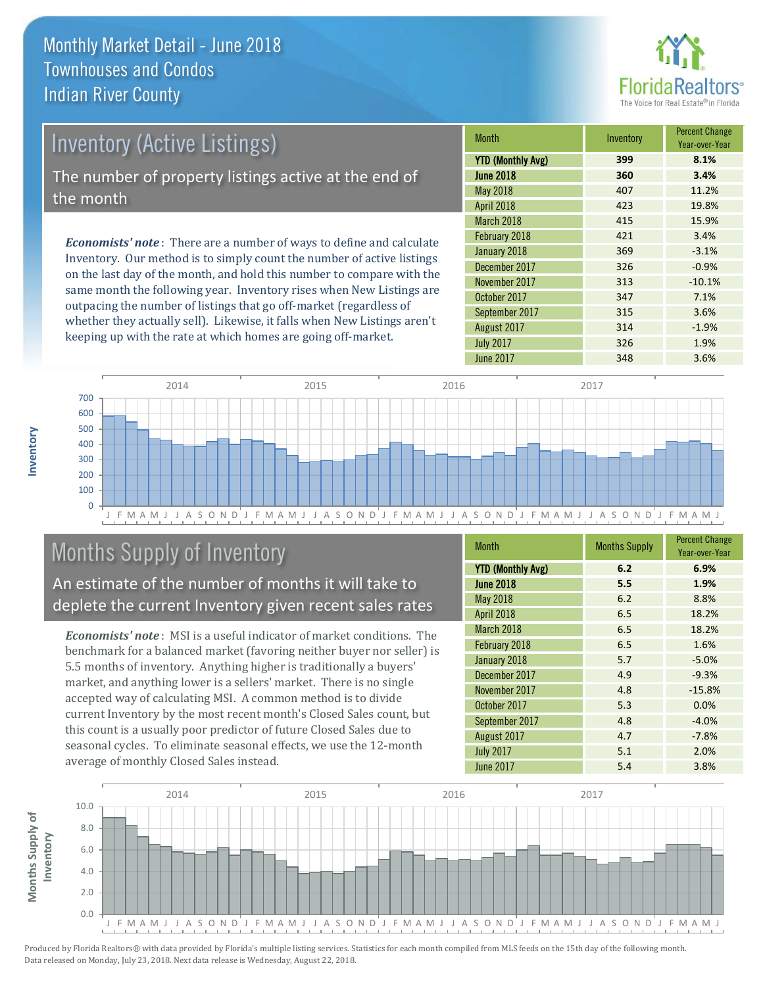

### Inventory (Active Listings) The number of property listings active at the end of the month

*Economists' note* : There are a number of ways to define and calculate Inventory. Our method is to simply count the number of active listings on the last day of the month, and hold this number to compare with the same month the following year. Inventory rises when New Listings are outpacing the number of listings that go off-market (regardless of whether they actually sell). Likewise, it falls when New Listings aren't keeping up with the rate at which homes are going off-market.

| <b>Month</b>             | Inventory | <b>Percent Change</b><br>Year-over-Year |
|--------------------------|-----------|-----------------------------------------|
| <b>YTD (Monthly Avg)</b> | 399       | 8.1%                                    |
| <b>June 2018</b>         | 360       | 3.4%                                    |
| May 2018                 | 407       | 11.2%                                   |
| April 2018               | 423       | 19.8%                                   |
| March 2018               | 415       | 15.9%                                   |
| February 2018            | 421       | 3.4%                                    |
| January 2018             | 369       | $-3.1%$                                 |
| December 2017            | 326       | $-0.9%$                                 |
| November 2017            | 313       | $-10.1%$                                |
| October 2017             | 347       | 7.1%                                    |
| September 2017           | 315       | 3.6%                                    |
| August 2017              | 314       | $-1.9%$                                 |
| <b>July 2017</b>         | 326       | 1.9%                                    |
| <b>June 2017</b>         | 348       | 3.6%                                    |



# Months Supply of Inventory

An estimate of the number of months it will take to deplete the current Inventory given recent sales rates

*Economists' note* : MSI is a useful indicator of market conditions. The benchmark for a balanced market (favoring neither buyer nor seller) is 5.5 months of inventory. Anything higher is traditionally a buyers' market, and anything lower is a sellers' market. There is no single accepted way of calculating MSI. A common method is to divide current Inventory by the most recent month's Closed Sales count, but this count is a usually poor predictor of future Closed Sales due to seasonal cycles. To eliminate seasonal effects, we use the 12-month average of monthly Closed Sales instead.

| <b>Month</b>             | <b>Months Supply</b> | <b>Percent Change</b><br>Year-over-Year |
|--------------------------|----------------------|-----------------------------------------|
| <b>YTD (Monthly Avg)</b> | 6.2                  | 6.9%                                    |
| <b>June 2018</b>         | 5.5                  | 1.9%                                    |
| <b>May 2018</b>          | 6.2                  | 8.8%                                    |
| <b>April 2018</b>        | 6.5                  | 18.2%                                   |
| March 2018               | 6.5                  | 18.2%                                   |
| February 2018            | 6.5                  | 1.6%                                    |
| January 2018             | 5.7                  | $-5.0%$                                 |
| December 2017            | 4.9                  | $-9.3%$                                 |
| November 2017            | 4.8                  | $-15.8%$                                |
| October 2017             | 5.3                  | 0.0%                                    |
| September 2017           | 4.8                  | $-4.0%$                                 |
| August 2017              | 4.7                  | $-7.8%$                                 |
| <b>July 2017</b>         | 5.1                  | 2.0%                                    |
| <b>June 2017</b>         | 5.4                  | 3.8%                                    |

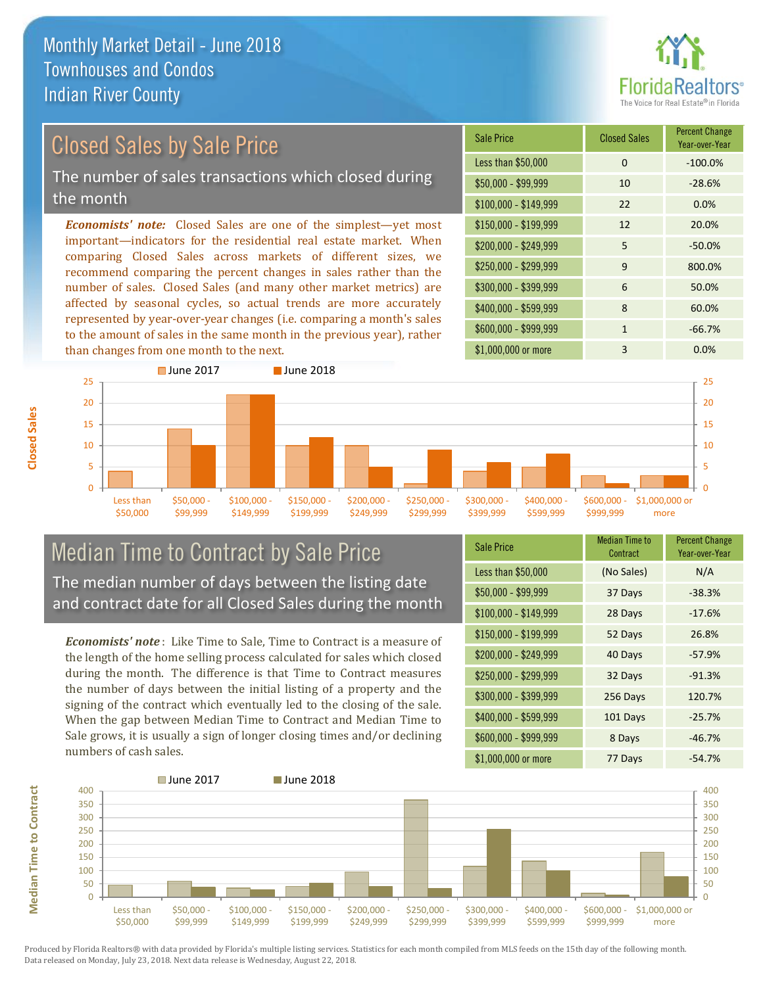

# Closed Sales by Sale Price

The number of sales transactions which closed during the month

*Economists' note:* Closed Sales are one of the simplest—yet most important—indicators for the residential real estate market. When comparing Closed Sales across markets of different sizes, we recommend comparing the percent changes in sales rather than the number of sales. Closed Sales (and many other market metrics) are affected by seasonal cycles, so actual trends are more accurately represented by year-over-year changes (i.e. comparing a month's sales to the amount of sales in the same month in the previous year), rather than changes from one month to the next.

| Sale Price            | <b>Closed Sales</b> | <b>Percent Change</b><br>Year-over-Year |
|-----------------------|---------------------|-----------------------------------------|
| Less than \$50,000    | $\Omega$            | $-100.0%$                               |
| \$50,000 - \$99,999   | 10                  | $-28.6%$                                |
| $$100,000 - $149,999$ | 22                  | 0.0%                                    |
| $$150,000 - $199,999$ | 12                  | 20.0%                                   |
| \$200,000 - \$249,999 | 5                   | $-50.0%$                                |
| \$250,000 - \$299,999 | 9                   | 800.0%                                  |
| \$300,000 - \$399,999 | 6                   | 50.0%                                   |
| \$400,000 - \$599,999 | 8                   | 60.0%                                   |
| \$600,000 - \$999,999 | $\mathbf{1}$        | $-66.7%$                                |
| \$1,000,000 or more   | 3                   | 0.0%                                    |



### Median Time to Contract by Sale Price The median number of days between the listing date and contract date for all Closed Sales during the month

*Economists' note* : Like Time to Sale, Time to Contract is a measure of the length of the home selling process calculated for sales which closed during the month. The difference is that Time to Contract measures the number of days between the initial listing of a property and the signing of the contract which eventually led to the closing of the sale. When the gap between Median Time to Contract and Median Time to Sale grows, it is usually a sign of longer closing times and/or declining numbers of cash sales.

| Sale Price            | <b>Median Time to</b><br>Contract | <b>Percent Change</b><br>Year-over-Year |
|-----------------------|-----------------------------------|-----------------------------------------|
| Less than \$50,000    | (No Sales)                        | N/A                                     |
| \$50,000 - \$99,999   | 37 Days                           | $-38.3%$                                |
| $$100,000 - $149,999$ | 28 Days                           | $-17.6%$                                |
| \$150,000 - \$199,999 | 52 Days                           | 26.8%                                   |
| \$200,000 - \$249,999 | 40 Days                           | $-57.9%$                                |
| \$250,000 - \$299,999 | 32 Days                           | $-91.3%$                                |
| \$300,000 - \$399,999 | 256 Days                          | 120.7%                                  |
| \$400,000 - \$599,999 | 101 Days                          | $-25.7%$                                |
| \$600,000 - \$999,999 | 8 Days                            | $-46.7%$                                |
| \$1,000,000 or more   | 77 Days                           | $-54.7%$                                |



Produced by Florida Realtors® with data provided by Florida's multiple listing services. Statistics for each month compiled from MLS feeds on the 15th day of the following month. Data released on Monday, July 23, 2018. Next data release is Wednesday, August 22, 2018.

**Median Time to Contract**

**Median Time to Contract**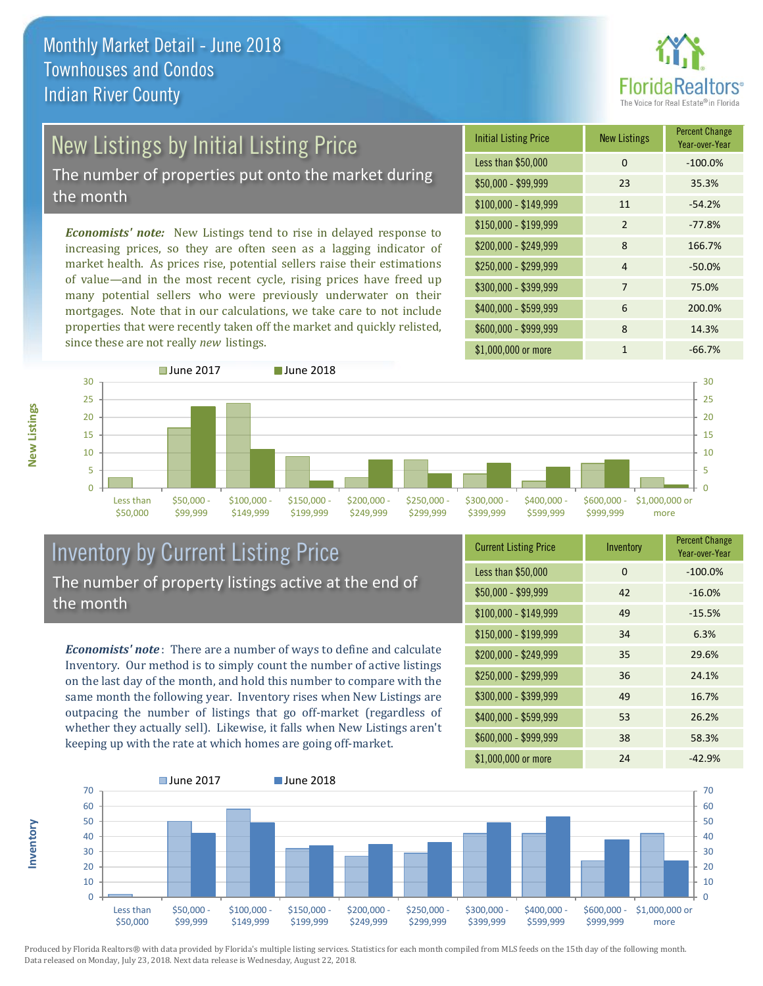

# New Listings by Initial Listing Price

The number of properties put onto the market during the month

*Economists' note:* New Listings tend to rise in delayed response to increasing prices, so they are often seen as a lagging indicator of market health. As prices rise, potential sellers raise their estimations of value—and in the most recent cycle, rising prices have freed up many potential sellers who were previously underwater on their mortgages. Note that in our calculations, we take care to not include properties that were recently taken off the market and quickly relisted, since these are not really *new* listings.

| <b>Initial Listing Price</b> | <b>New Listings</b> | <b>Percent Change</b><br>Year-over-Year |
|------------------------------|---------------------|-----------------------------------------|
| Less than \$50,000           | 0                   | $-100.0%$                               |
| \$50,000 - \$99,999          | 23                  | 35.3%                                   |
| $$100,000 - $149,999$        | 11                  | $-54.2%$                                |
| $$150,000 - $199,999$        | $\mathcal{P}$       | $-77.8%$                                |
| \$200,000 - \$249,999        | 8                   | 166.7%                                  |
| \$250,000 - \$299,999        | 4                   | $-50.0%$                                |
| \$300,000 - \$399,999        | 7                   | 75.0%                                   |
| \$400,000 - \$599,999        | 6                   | 200.0%                                  |
| \$600,000 - \$999,999        | 8                   | 14.3%                                   |
| \$1,000,000 or more          | 1                   | $-66.7%$                                |



### Inventory by Current Listing Price The number of property listings active at the end of the month

*Economists' note* : There are a number of ways to define and calculate Inventory. Our method is to simply count the number of active listings on the last day of the month, and hold this number to compare with the same month the following year. Inventory rises when New Listings are outpacing the number of listings that go off-market (regardless of whether they actually sell). Likewise, it falls when New Listings aren't keeping up with the rate at which homes are going off-market.

|  | <b>Current Listing Price</b> | Inventory | <b>Percent Change</b><br>Year-over-Year |
|--|------------------------------|-----------|-----------------------------------------|
|  | Less than \$50,000           | 0         | $-100.0%$                               |
|  | $$50,000 - $99,999$          | 42        | $-16.0%$                                |
|  | $$100,000 - $149,999$        | 49        | $-15.5%$                                |
|  | $$150,000 - $199,999$        | 34        | 6.3%                                    |
|  | \$200,000 - \$249,999        | 35        | 29.6%                                   |
|  | \$250,000 - \$299,999        | 36        | 24.1%                                   |
|  | \$300,000 - \$399,999        | 49        | 16.7%                                   |
|  | \$400,000 - \$599,999        | 53        | 26.2%                                   |
|  | \$600,000 - \$999,999        | 38        | 58.3%                                   |
|  | \$1,000,000 or more          | 24        | $-42.9%$                                |



Produced by Florida Realtors® with data provided by Florida's multiple listing services. Statistics for each month compiled from MLS feeds on the 15th day of the following month. Data released on Monday, July 23, 2018. Next data release is Wednesday, August 22, 2018.

**Inventory**